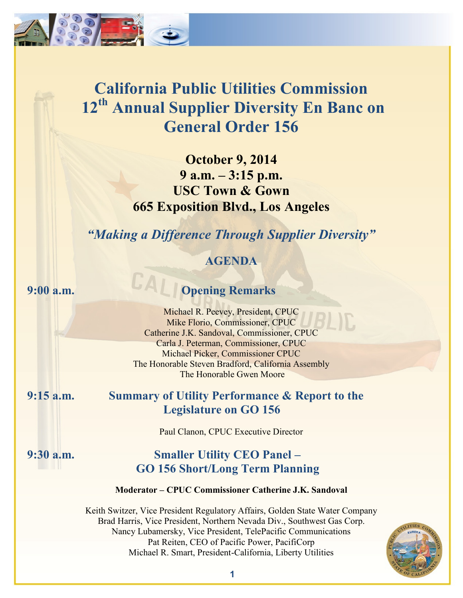

**October 9, 2014 9 a.m. – 3:15 p.m. USC Town & Gown 665 Exposition Blvd., Los Angeles**

*"Making a Difference Through Supplier Diversity"*

# **AGENDA**

# **9:00 a.m. Opening Remarks**

Michael R. Peevey, President, CPUC Mike Florio, Commissioner, CPUC Catherine J.K. Sandoval, Commissioner, CPUC Carla J. Peterman, Commissioner, CPUC Michael Picker, Commissioner CPUC The Honorable Steven Bradford, California Assembly The Honorable Gwen Moore

# **9:15 a.m. Summary of Utility Performance & Report to the Legislature on GO 156**

Paul Clanon, CPUC Executive Director

## **9:30 a.m. Smaller Utility CEO Panel – GO 156 Short/Long Term Planning**

## **Moderator – CPUC Commissioner Catherine J.K. Sandoval**

Keith Switzer, Vice President Regulatory Affairs, Golden State Water Company Brad Harris, Vice President, Northern Nevada Div., Southwest Gas Corp. Nancy Lubamersky, Vice President, TelePacific Communications Pat Reiten, CEO of Pacific Power, PacifiCorp Michael R. Smart, President-California, Liberty Utilities

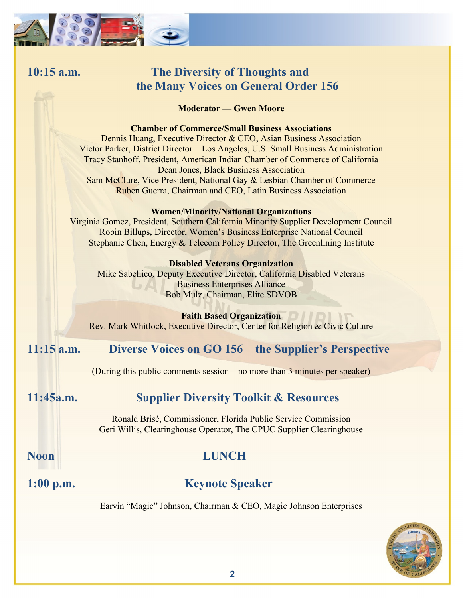

# **10:15 a.m. The Diversity of Thoughts and the Many Voices on General Order 156**

**Moderator — Gwen Moore**

## **Chamber of Commerce/Small Business Associations**

Dennis Huang, Executive Director & CEO, Asian Business Association Victor Parker, District Director – Los Angeles, U.S. Small Business Administration Tracy Stanhoff, President, American Indian Chamber of Commerce of California Dean Jones, Black Business Association Sam McClure, Vice President, National Gay & Lesbian Chamber of Commerce Ruben Guerra, Chairman and CEO, Latin Business Association

## **Women/Minority/National Organizations**

Virginia Gomez, President, Southern California Minority Supplier Development Council Robin Billups*,* Director, Women's Business Enterprise National Council Stephanie Chen, Energy & Telecom Policy Director, The Greenlining Institute

## **Disabled Veterans Organization**

Mike Sabellico*,* Deputy Executive Director, California Disabled Veterans Business Enterprises Alliance Bob Mulz, Chairman, Elite SDVOB

## **Faith Based Organization**

Rev. Mark Whitlock, Executive Director, Center for Religion & Civic Culture

# **11:15 a.m. Diverse Voices on GO 156 – the Supplier's Perspective**

(During this public comments session – no more than 3 minutes per speaker)

# **11:45a.m. Supplier Diversity Toolkit & Resources**

Ronald Brisé, Commissioner, Florida Public Service Commission Geri Willis, Clearinghouse Operator, The CPUC Supplier Clearinghouse

# **Noon LUNCH**

# **1:00 p.m. Keynote Speaker**

Earvin "Magic" Johnson, Chairman & CEO, Magic Johnson Enterprises